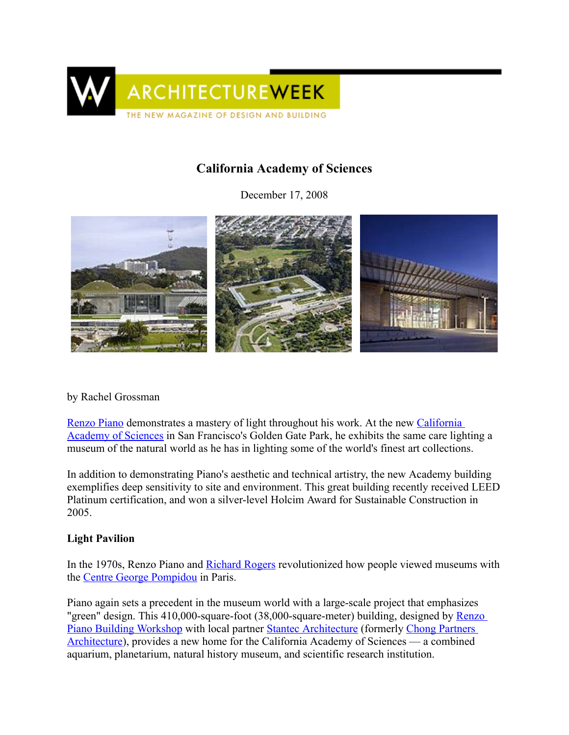

# California Academy of Sciences

December 17, 2008



### by Rachel Grossman

[Renzo](http://www.greatbuildings.com/architects/Renzo_Piano.html) Piano demonstrates a mastery of light throughout his work. At the new [California](http://www.archiplanet.org/wiki/California_Academy_of_Sciences%2C_San_Francisco%2C_California) [Academy](http://www.archiplanet.org/wiki/California_Academy_of_Sciences%2C_San_Francisco%2C_California) of Sciences in San Francisco's Golden Gate Park, he exhibits the same care lighting a museum of the natural world as he has in lighting some of the world's finest art collections.

In addition to demonstrating Piano's aesthetic and technical artistry, the new Academy building exemplifies deep sensitivity to site and environment. This great building recently received LEED Platinum certification, and won a silver-level Holcim Award for Sustainable Construction in 2005.

### Light Pavilion

In the 1970s, Renzo Piano and [Richard](http://www.greatbuildings.com/architects/Richard_Rogers.html) Rogers revolutionized how people viewed museums with the Centre George [Pompidou](http://www.greatbuildings.com/buildings/Centre_Pompidou.html) in Paris.

Piano again sets a precedent in the museum world with a large-scale project that emphasizes "green" design. This 410,000-square-foot (38,000-square-meter) building, designed by [Renzo](http://www.archiplanet.org/wiki/Renzo_Piano_Building_Workshop_S.r.l.%2C_Genoa%2C_Italy) Piano Building [Workshop](http://www.archiplanet.org/wiki/Renzo_Piano_Building_Workshop_S.r.l.%2C_Genoa%2C_Italy) with local partner Stantec [Architecture](http://www.archiplanet.org/wiki/Stantec_Architecture%2C_San_Francisco%2C_California%2C_USA) (formerly Chong [Partners](http://www.archiplanet.org/wiki/Chong_Partners_Architecture%2C_San_Francisco%2C_California%2C_USA) [Architecture\)](http://www.archiplanet.org/wiki/Chong_Partners_Architecture%2C_San_Francisco%2C_California%2C_USA), provides a new home for the California Academy of Sciences — a combined aquarium, planetarium, natural history museum, and scientific research institution.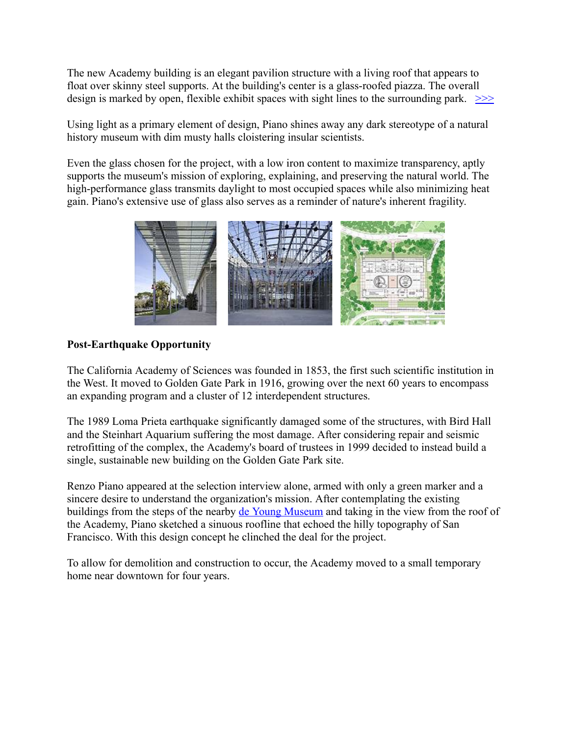The new Academy building is an elegant pavilion structure with a living roof that appears to float over skinny steel supports. At the building's center is a glass-roofed piazza. The overall design is marked by open, flexible exhibit spaces with sight lines to the surrounding park.  $\gg$ 

Using light as a primary element of design, Piano shines away any dark stereotype of a natural history museum with dim musty halls cloistering insular scientists.

Even the glass chosen for the project, with a low iron content to maximize transparency, aptly supports the museum's mission of exploring, explaining, and preserving the natural world. The high-performance glass transmits daylight to most occupied spaces while also minimizing heat gain. Piano's extensive use of glass also serves as a reminder of nature's inherent fragility.



## Post-Earthquake Opportunity

The California Academy of Sciences was founded in 1853, the first such scientific institution in the West. It moved to Golden Gate Park in 1916, growing over the next 60 years to encompass an expanding program and a cluster of 12 interdependent structures.

The 1989 Loma Prieta earthquake significantly damaged some of the structures, with Bird Hall and the Steinhart Aquarium suffering the most damage. After considering repair and seismic retrofitting of the complex, the Academy's board of trustees in 1999 decided to instead build a single, sustainable new building on the Golden Gate Park site.

Renzo Piano appeared at the selection interview alone, armed with only a green marker and a sincere desire to understand the organization's mission. After contemplating the existing buildings from the steps of the nearby de Young [Museum](http://www.architectureweek.com/2006/0301/index.html) and taking in the view from the roof of the Academy, Piano sketched a sinuous roofline that echoed the hilly topography of San Francisco. With this design concept he clinched the deal for the project.

To allow for demolition and construction to occur, the Academy moved to a small temporary home near downtown for four years.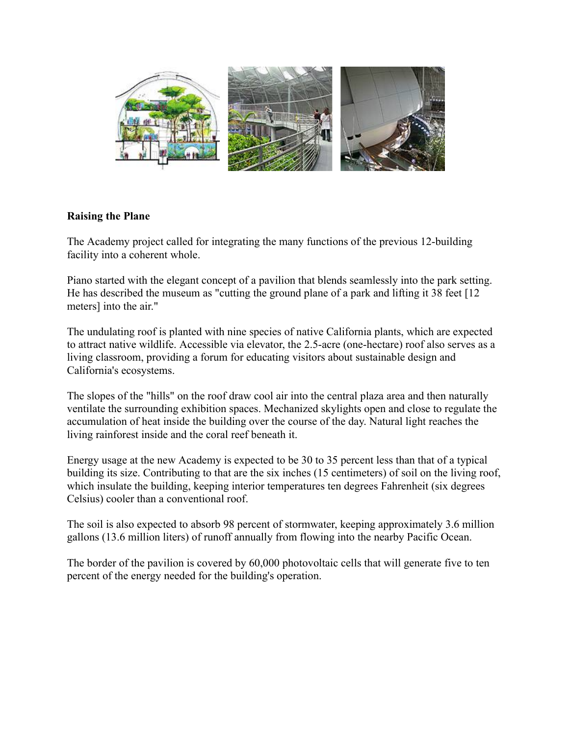

### Raising the Plane

The Academy project called for integrating the many functions of the previous 12-building facility into a coherent whole.

Piano started with the elegant concept of a pavilion that blends seamlessly into the park setting. He has described the museum as "cutting the ground plane of a park and lifting it 38 feet [12 meters] into the air."

The undulating roof is planted with nine species of native California plants, which are expected to attract native wildlife. Accessible via elevator, the 2.5-acre (one-hectare) roof also serves as a living classroom, providing a forum for educating visitors about sustainable design and California's ecosystems.

The slopes of the "hills" on the roof draw cool air into the central plaza area and then naturally ventilate the surrounding exhibition spaces. Mechanized skylights open and close to regulate the accumulation of heat inside the building over the course of the day. Natural light reaches the living rainforest inside and the coral reef beneath it.

Energy usage at the new Academy is expected to be 30 to 35 percent less than that of a typical building its size. Contributing to that are the six inches (15 centimeters) of soil on the living roof, which insulate the building, keeping interior temperatures ten degrees Fahrenheit (six degrees Celsius) cooler than a conventional roof.

The soil is also expected to absorb 98 percent of stormwater, keeping approximately 3.6 million gallons (13.6 million liters) of runoff annually from flowing into the nearby Pacific Ocean.

The border of the pavilion is covered by 60,000 photovoltaic cells that will generate five to ten percent of the energy needed for the building's operation.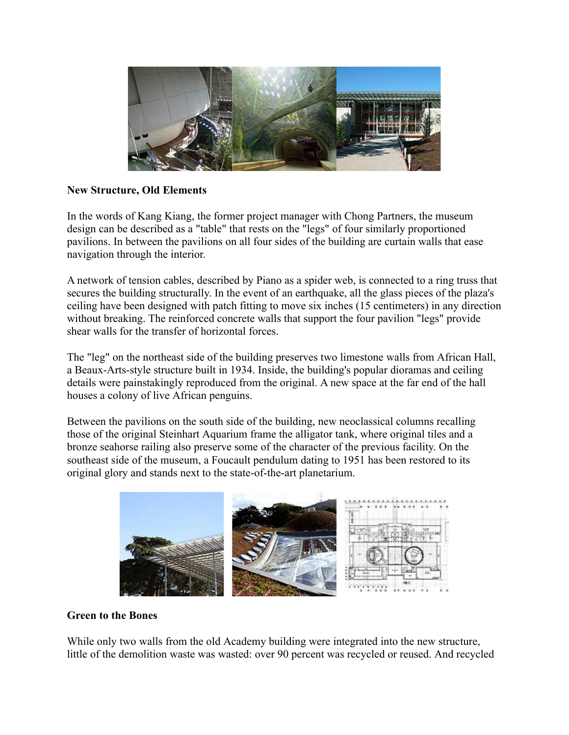

### New Structure, Old Elements

In the words of Kang Kiang, the former project manager with Chong Partners, the museum design can be described as a "table" that rests on the "legs" of four similarly proportioned pavilions. In between the pavilions on all four sides of the building are curtain walls that ease navigation through the interior.

A network of tension cables, described by Piano as a spider web, is connected to a ring truss that secures the building structurally. In the event of an earthquake, all the glass pieces of the plaza's ceiling have been designed with patch fitting to move six inches (15 centimeters) in any direction without breaking. The reinforced concrete walls that support the four pavilion "legs" provide shear walls for the transfer of horizontal forces.

The "leg" on the northeast side of the building preserves two limestone walls from African Hall, a Beaux-Arts-style structure built in 1934. Inside, the building's popular dioramas and ceiling details were painstakingly reproduced from the original. A new space at the far end of the hall houses a colony of live African penguins.

Between the pavilions on the south side of the building, new neoclassical columns recalling those of the original Steinhart Aquarium frame the alligator tank, where original tiles and a bronze seahorse railing also preserve some of the character of the previous facility. On the southeast side of the museum, a Foucault pendulum dating to 1951 has been restored to its original glory and stands next to the state-of-the-art planetarium.



#### Green to the Bones

While only two walls from the old Academy building were integrated into the new structure, little of the demolition waste was wasted: over 90 percent was recycled or reused. And recycled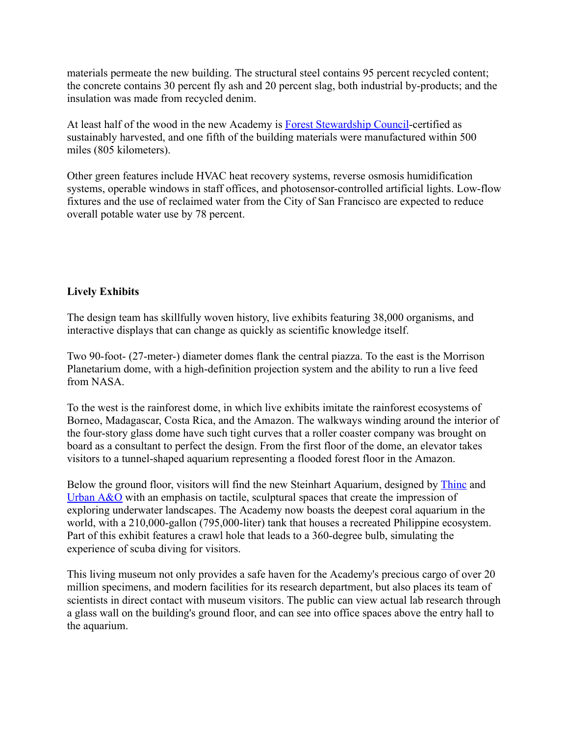materials permeate the new building. The structural steel contains 95 percent recycled content; the concrete contains 30 percent fly ash and 20 percent slag, both industrial by-products; and the insulation was made from recycled denim.

At least half of the wood in the new Academy is **Forest [Stewardship](http://www.archiplanet.org/wiki/Forest_Stewardship_Council-US%2C_Washington%2C_District_of_Columbia%2C_USA) Council-certified as** sustainably harvested, and one fifth of the building materials were manufactured within 500 miles (805 kilometers).

Other green features include HVAC heat recovery systems, reverse osmosis humidification systems, operable windows in staff offices, and photosensor-controlled artificial lights. Low-flow fixtures and the use of reclaimed water from the City of San Francisco are expected to reduce overall potable water use by 78 percent.

## Lively Exhibits

The design team has skillfully woven history, live exhibits featuring 38,000 organisms, and interactive displays that can change as quickly as scientific knowledge itself.

Two 90-foot- (27-meter-) diameter domes flank the central piazza. To the east is the Morrison Planetarium dome, with a high-definition projection system and the ability to run a live feed from NASA.

To the west is the rainforest dome, in which live exhibits imitate the rainforest ecosystems of Borneo, Madagascar, Costa Rica, and the Amazon. The walkways winding around the interior of the four-story glass dome have such tight curves that a roller coaster company was brought on board as a consultant to perfect the design. From the first floor of the dome, an elevator takes visitors to a tunnel-shaped aquarium representing a flooded forest floor in the Amazon.

Below the ground floor, visitors will find the new Steinhart Aquarium, designed by [Thinc](http://www.archiplanet.org/wiki/Thinc_Design%2C_New_York%2C_New_York%2C_USA) and [Urban](http://www.archiplanet.org/wiki/Urban_A%26O%2C_New_York%2C_New_York%2C_USA) A&O with an emphasis on tactile, sculptural spaces that create the impression of exploring underwater landscapes. The Academy now boasts the deepest coral aquarium in the world, with a 210,000-gallon (795,000-liter) tank that houses a recreated Philippine ecosystem. Part of this exhibit features a crawl hole that leads to a 360-degree bulb, simulating the experience of scuba diving for visitors.

This living museum not only provides a safe haven for the Academy's precious cargo of over 20 million specimens, and modern facilities for its research department, but also places its team of scientists in direct contact with museum visitors. The public can view actual lab research through a glass wall on the building's ground floor, and can see into office spaces above the entry hall to the aquarium.